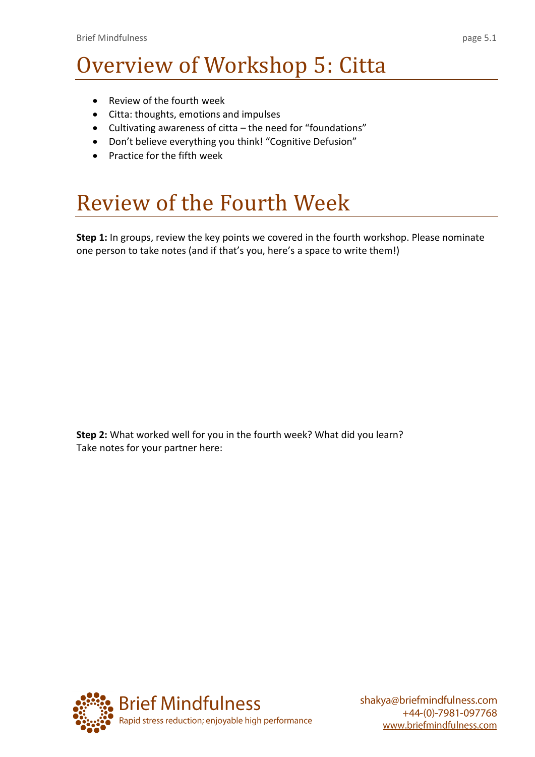## Overview of Workshop 5: Citta

- Review of the fourth week
- Citta: thoughts, emotions and impulses
- Cultivating awareness of citta the need for "foundations"
- Don't believe everything you think! "Cognitive Defusion"
- Practice for the fifth week

## Review of the Fourth Week

**Step 1:** In groups, review the key points we covered in the fourth workshop. Please nominate one person to take notes (and if that's you, here's a space to write them!)

**Step 2:** What worked well for you in the fourth week? What did you learn? Take notes for your partner here:

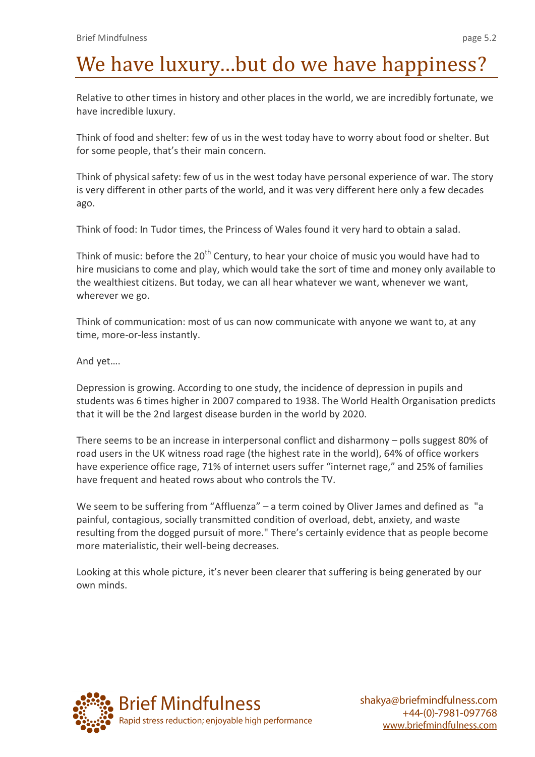# We have luxury...but do we have happiness?

Relative to other times in history and other places in the world, we are incredibly fortunate, we have incredible luxury.

Think of food and shelter: few of us in the west today have to worry about food or shelter. But for some people, that's their main concern.

Think of physical safety: few of us in the west today have personal experience of war. The story is very different in other parts of the world, and it was very different here only a few decades ago.

Think of food: In Tudor times, the Princess of Wales found it very hard to obtain a salad.

Think of music: before the 20<sup>th</sup> Century, to hear your choice of music you would have had to hire musicians to come and play, which would take the sort of time and money only available to the wealthiest citizens. But today, we can all hear whatever we want, whenever we want, wherever we go.

Think of communication: most of us can now communicate with anyone we want to, at any time, more-or-less instantly.

And yet….

Depression is growing. According to one study, the incidence of depression in pupils and students was 6 times higher in 2007 compared to 1938. The World Health Organisation predicts that it will be the 2nd largest disease burden in the world by 2020.

There seems to be an increase in interpersonal conflict and disharmony – polls suggest 80% of road users in the UK witness road rage (the highest rate in the world), 64% of office workers have experience office rage, 71% of internet users suffer "internet rage," and 25% of families have frequent and heated rows about who controls the TV.

We seem to be suffering from "Affluenza" – a term coined by Oliver James and defined as "a painful, [contagious,](http://en.wikipedia.org/wiki/Infectious_disease) socially transmitted condition of overload, [debt,](http://en.wikipedia.org/wiki/Debt) [anxiety,](http://en.wikipedia.org/wiki/Anxiety) and [waste](http://en.wikipedia.org/wiki/Waste) resulting from the dogged pursuit of more." There's certainly evidence that as people become more materialistic, their well-being decreases.

Looking at this whole picture, it's never been clearer that suffering is being generated by our own minds.

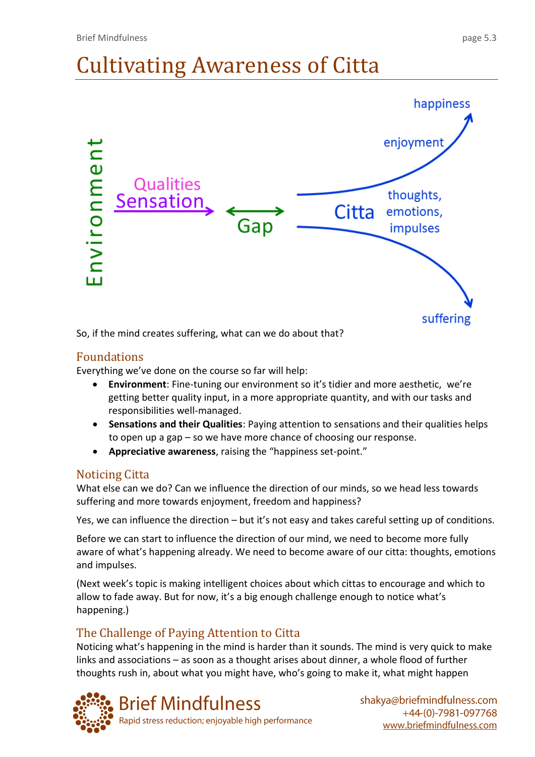# Cultivating Awareness of Citta



So, if the mind creates suffering, what can we do about that?

### Foundations

Everything we've done on the course so far will help:

- **Environment**: Fine-tuning our environment so it's tidier and more aesthetic, we're getting better quality input, in a more appropriate quantity, and with our tasks and responsibilities well-managed.
- **Sensations and their Qualities**: Paying attention to sensations and their qualities helps to open up a gap – so we have more chance of choosing our response.
- **Appreciative awareness**, raising the "happiness set-point."

#### Noticing Citta

What else can we do? Can we influence the direction of our minds, so we head less towards suffering and more towards enjoyment, freedom and happiness?

Yes, we can influence the direction – but it's not easy and takes careful setting up of conditions.

Before we can start to influence the direction of our mind, we need to become more fully aware of what's happening already. We need to become aware of our citta: thoughts, emotions and impulses.

(Next week's topic is making intelligent choices about which cittas to encourage and which to allow to fade away. But for now, it's a big enough challenge enough to notice what's happening.)

### The Challenge of Paying Attention to Citta

Noticing what's happening in the mind is harder than it sounds. The mind is very quick to make links and associations – as soon as a thought arises about dinner, a whole flood of further thoughts rush in, about what you might have, who's going to make it, what might happen

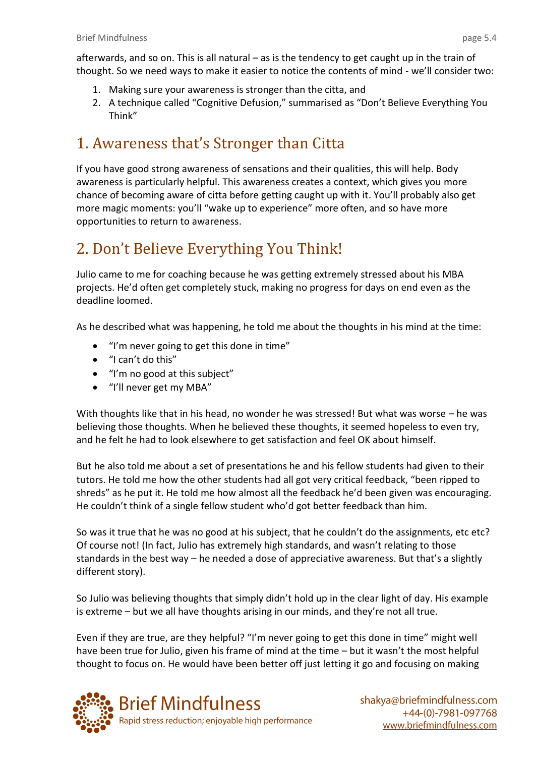- 1. Making sure your awareness is stronger than the citta, and
- 2. A technique called "Cognitive Defusion," summarised as "Don't Believe Everything You Think"

### 1. Awareness that's Stronger than Citta

If you have good strong awareness of sensations and their qualities, this will help. Body awareness is particularly helpful. This awareness creates a context, which gives you more chance of becoming aware of citta before getting caught up with it. You'll probably also get more magic moments: you'll "wake up to experience" more often, and so have more opportunities to return to awareness.

### 2. Don't Believe Everything You Think!

Julio came to me for coaching because he was getting extremely stressed about his MBA projects. He'd often get completely stuck, making no progress for days on end even as the deadline loomed.

As he described what was happening, he told me about the thoughts in his mind at the time:

- "I'm never going to get this done in time"
- "I can't do this"
- "I'm no good at this subject"
- "I'll never get my MBA"

With thoughts like that in his head, no wonder he was stressed! But what was worse – he was believing those thoughts. When he believed these thoughts, it seemed hopeless to even try, and he felt he had to look elsewhere to get satisfaction and feel OK about himself.

But he also told me about a set of presentations he and his fellow students had given to their tutors. He told me how the other students had all got very critical feedback, "been ripped to shreds" as he put it. He told me how almost all the feedback he'd been given was encouraging. He couldn't think of a single fellow student who'd got better feedback than him.

So was it true that he was no good at his subject, that he couldn't do the assignments, etc etc? Of course not! (In fact, Julio has extremely high standards, and wasn't relating to those standards in the best way – he needed a dose of appreciative awareness. But that's a slightly different story).

So Julio was believing thoughts that simply didn't hold up in the clear light of day. His example is extreme – but we all have thoughts arising in our minds, and they're not all true.

Even if they are true, are they helpful? "I'm never going to get this done in time" might well have been true for Julio, given his frame of mind at the time – but it wasn't the most helpful thought to focus on. He would have been better off just letting it go and focusing on making

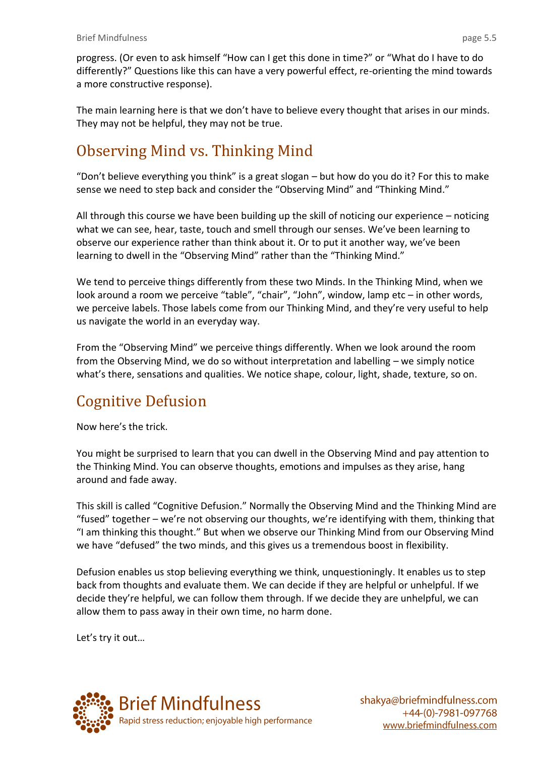progress. (Or even to ask himself "How can I get this done in time?" or "What do I have to do differently?" Questions like this can have a very powerful effect, re-orienting the mind towards a more constructive response).

The main learning here is that we don't have to believe every thought that arises in our minds. They may not be helpful, they may not be true.

### Observing Mind vs. Thinking Mind

"Don't believe everything you think" is a great slogan – but how do you do it? For this to make sense we need to step back and consider the "Observing Mind" and "Thinking Mind."

All through this course we have been building up the skill of noticing our experience – noticing what we can see, hear, taste, touch and smell through our senses. We've been learning to observe our experience rather than think about it. Or to put it another way, we've been learning to dwell in the "Observing Mind" rather than the "Thinking Mind."

We tend to perceive things differently from these two Minds. In the Thinking Mind, when we look around a room we perceive "table", "chair", "John", window, lamp etc – in other words, we perceive labels. Those labels come from our Thinking Mind, and they're very useful to help us navigate the world in an everyday way.

From the "Observing Mind" we perceive things differently. When we look around the room from the Observing Mind, we do so without interpretation and labelling – we simply notice what's there, sensations and qualities. We notice shape, colour, light, shade, texture, so on.

### Cognitive Defusion

Now here's the trick.

You might be surprised to learn that you can dwell in the Observing Mind and pay attention to the Thinking Mind. You can observe thoughts, emotions and impulses as they arise, hang around and fade away.

This skill is called "Cognitive Defusion." Normally the Observing Mind and the Thinking Mind are "fused" together – we're not observing our thoughts, we're identifying with them, thinking that "I am thinking this thought." But when we observe our Thinking Mind from our Observing Mind we have "defused" the two minds, and this gives us a tremendous boost in flexibility.

Defusion enables us stop believing everything we think, unquestioningly. It enables us to step back from thoughts and evaluate them. We can decide if they are helpful or unhelpful. If we decide they're helpful, we can follow them through. If we decide they are unhelpful, we can allow them to pass away in their own time, no harm done.

Let's try it out…

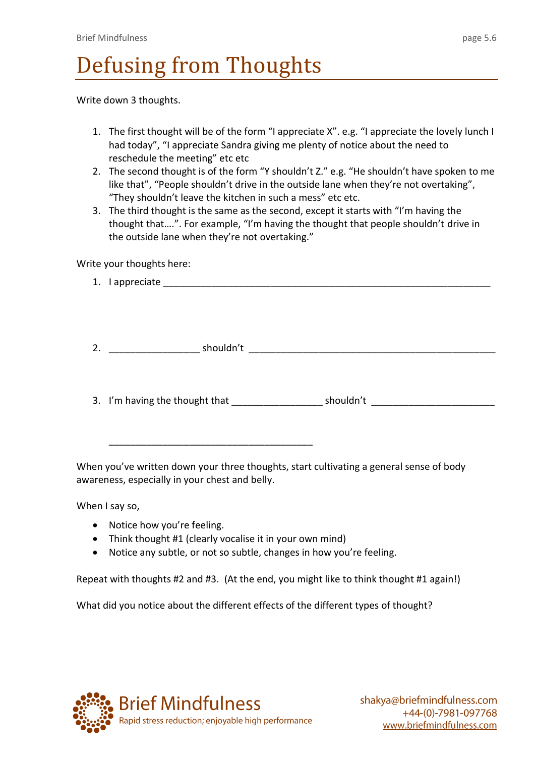# Defusing from Thoughts

Write down 3 thoughts.

- 1. The first thought will be of the form "I appreciate X". e.g. "I appreciate the lovely lunch I had today", "I appreciate Sandra giving me plenty of notice about the need to reschedule the meeting" etc etc
- 2. The second thought is of the form "Y shouldn't Z." e.g. "He shouldn't have spoken to me like that", "People shouldn't drive in the outside lane when they're not overtaking", "They shouldn't leave the kitchen in such a mess" etc etc.
- 3. The third thought is the same as the second, except it starts with "I'm having the thought that….". For example, "I'm having the thought that people shouldn't drive in the outside lane when they're not overtaking."

Write your thoughts here:

- 1. I appreciate \_\_\_\_\_\_\_\_\_\_\_\_\_\_\_\_\_\_\_\_\_\_\_\_\_\_\_\_\_\_\_\_\_\_\_\_\_\_\_\_\_\_\_\_\_\_\_\_\_\_\_\_\_\_\_\_\_\_\_\_\_
- 2. \_\_\_\_\_\_\_\_\_\_\_\_\_\_\_\_\_ shouldn't \_\_\_\_\_\_\_\_\_\_\_\_\_\_\_\_\_\_\_\_\_\_\_\_\_\_\_\_\_\_\_\_\_\_\_\_\_\_\_\_\_\_\_\_\_\_
- 3. I'm having the thought that example is shouldn't

When you've written down your three thoughts, start cultivating a general sense of body awareness, especially in your chest and belly.

When I say so,

- Notice how you're feeling.
- Think thought #1 (clearly vocalise it in your own mind)

\_\_\_\_\_\_\_\_\_\_\_\_\_\_\_\_\_\_\_\_\_\_\_\_\_\_\_\_\_\_\_\_\_\_\_\_\_\_

Notice any subtle, or not so subtle, changes in how you're feeling.

Repeat with thoughts #2 and #3. (At the end, you might like to think thought #1 again!)

What did you notice about the different effects of the different types of thought?

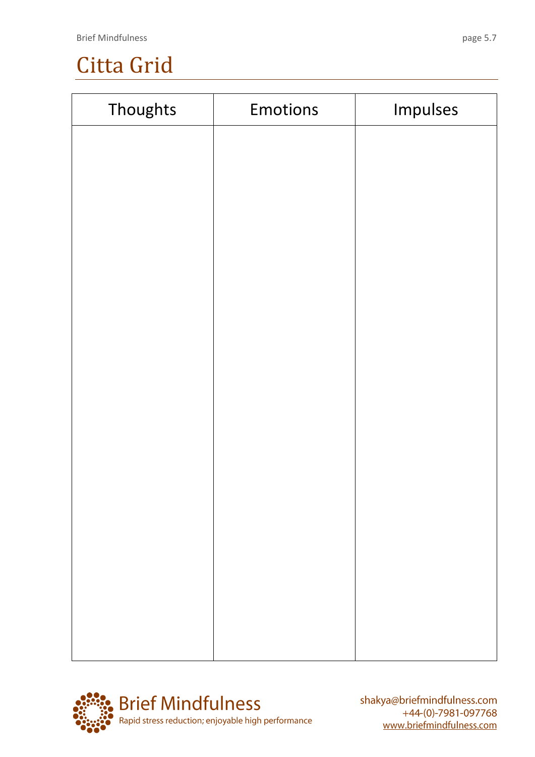## Citta Grid

| Thoughts | Emotions | Impulses |
|----------|----------|----------|
|          |          |          |
|          |          |          |
|          |          |          |
|          |          |          |
|          |          |          |
|          |          |          |
|          |          |          |
|          |          |          |
|          |          |          |
|          |          |          |
|          |          |          |
|          |          |          |
|          |          |          |
|          |          |          |
|          |          |          |
|          |          |          |
|          |          |          |

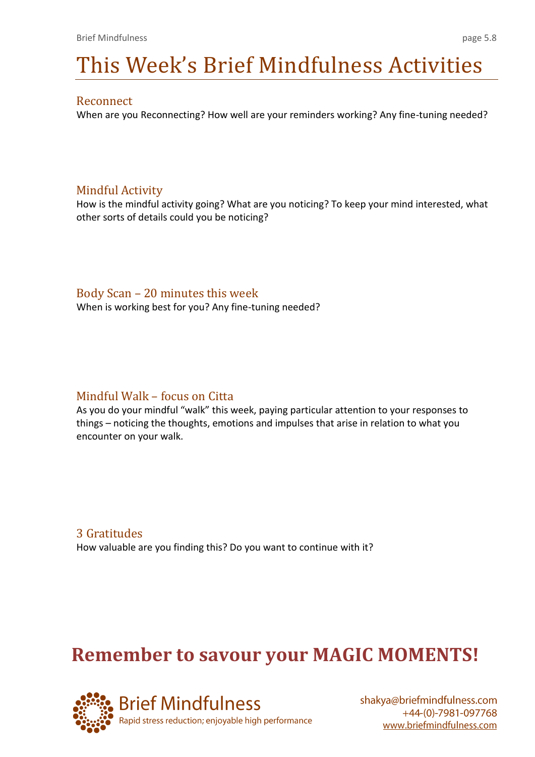# This Week's Brief Mindfulness Activities

#### Reconnect

When are you Reconnecting? How well are your reminders working? Any fine-tuning needed?

#### Mindful Activity

How is the mindful activity going? What are you noticing? To keep your mind interested, what other sorts of details could you be noticing?

#### Body Scan – 20 minutes this week

When is working best for you? Any fine-tuning needed?

#### Mindful Walk – focus on Citta

As you do your mindful "walk" this week, paying particular attention to your responses to things – noticing the thoughts, emotions and impulses that arise in relation to what you encounter on your walk.

3 Gratitudes How valuable are you finding this? Do you want to continue with it?

### **Remember to savour your MAGIC MOMENTS!**

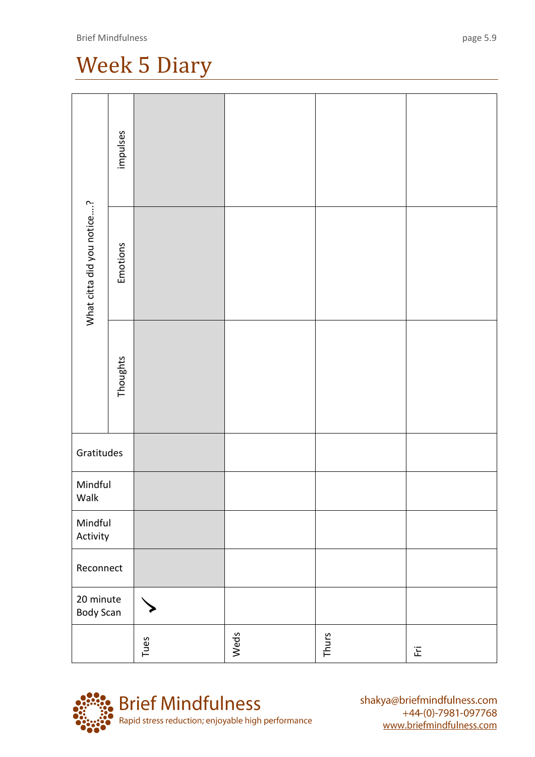## Week 5 Diary

| What citta did you notice? | impulses |      |      |       |                            |
|----------------------------|----------|------|------|-------|----------------------------|
|                            | Emotions |      |      |       |                            |
|                            | Thoughts |      |      |       |                            |
| Gratitudes                 |          |      |      |       |                            |
| Mindful<br>Walk            |          |      |      |       |                            |
| Mindful<br>Activity        |          |      |      |       |                            |
| Reconnect                  |          |      |      |       |                            |
| 20 minute<br>Body Scan     |          |      |      |       |                            |
|                            |          | Tues | Weds | Thurs | $\overleftarrow{\text{E}}$ |